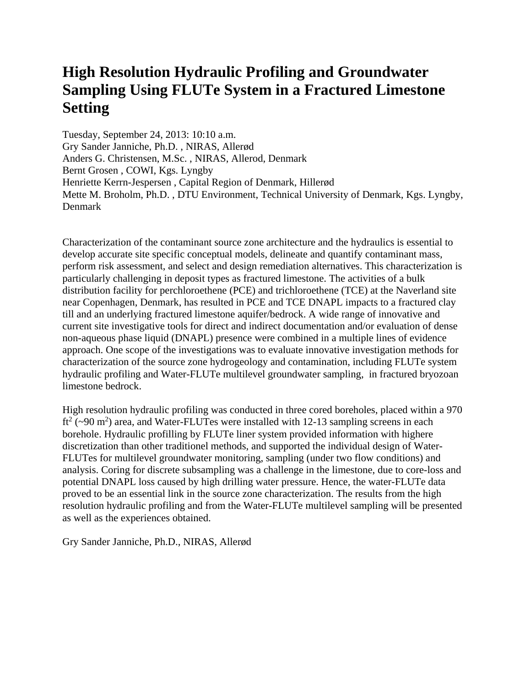## **High Resolution Hydraulic Profiling and Groundwater Sampling Using FLUTe System in a Fractured Limestone Setting**

Tuesday, September 24, 2013: 10:10 a.m. Gry Sander Janniche, Ph.D. , NIRAS, Allerød Anders G. Christensen, M.Sc. , NIRAS, Allerod, Denmark Bernt Grosen , COWI, Kgs. Lyngby Henriette Kerrn-Jespersen , Capital Region of Denmark, Hillerød Mette M. Broholm, Ph.D. , DTU Environment, Technical University of Denmark, Kgs. Lyngby, Denmark

Characterization of the contaminant source zone architecture and the hydraulics is essential to develop accurate site specific conceptual models, delineate and quantify contaminant mass, perform risk assessment, and select and design remediation alternatives. This characterization is particularly challenging in deposit types as fractured limestone. The activities of a bulk distribution facility for perchloroethene (PCE) and trichloroethene (TCE) at the Naverland site near Copenhagen, Denmark, has resulted in PCE and TCE DNAPL impacts to a fractured clay till and an underlying fractured limestone aquifer/bedrock. A wide range of innovative and current site investigative tools for direct and indirect documentation and/or evaluation of dense non-aqueous phase liquid (DNAPL) presence were combined in a multiple lines of evidence approach. One scope of the investigations was to evaluate innovative investigation methods for characterization of the source zone hydrogeology and contamination, including FLUTe system hydraulic profiling and Water-FLUTe multilevel groundwater sampling, in fractured bryozoan limestone bedrock.

High resolution hydraulic profiling was conducted in three cored boreholes, placed within a 970 ft<sup>2</sup> ( $\sim$ 90 m<sup>2</sup>) area, and Water-FLUTes were installed with 12-13 sampling screens in each borehole. Hydraulic profilling by FLUTe liner system provided information with highere discretization than other traditionel methods, and supported the individual design of Water-FLUTes for multilevel groundwater monitoring, sampling (under two flow conditions) and analysis. Coring for discrete subsampling was a challenge in the limestone, due to core-loss and potential DNAPL loss caused by high drilling water pressure. Hence, the water-FLUTe data proved to be an essential link in the source zone characterization. The results from the high resolution hydraulic profiling and from the Water-FLUTe multilevel sampling will be presented as well as the experiences obtained.

Gry Sander Janniche, Ph.D., NIRAS, Allerød